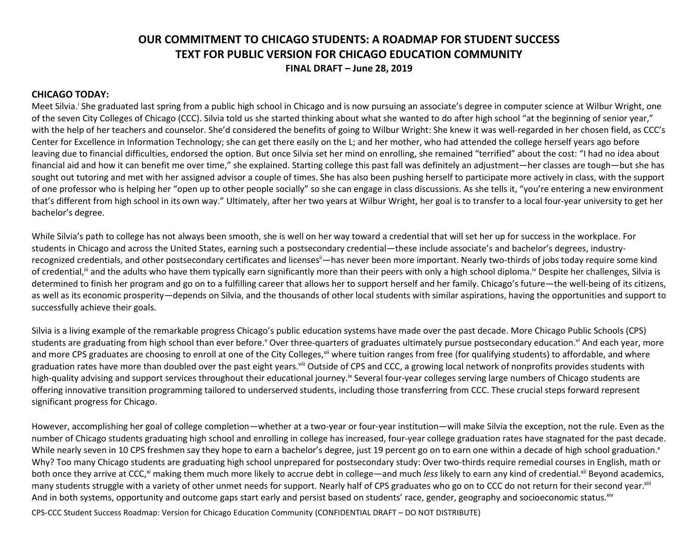# **OUR COMMITMENT TO CHICAGO STUDENTS: A ROADMAP FOR STUDENT SUCCESS TEXT FOR PUBLIC VERSION FOR CHICAGO EDUCATION COMMUNITY FINAL DRAFT – June 28, 2019**

### **CHICAGO TODAY:**

Meet Silvia.<sup>i</sup> She graduated last spring from a public high school in Chicago and is now pursuing an associate's degree in computer science at Wilbur Wright, one of the seven City Colleges of Chicago (CCC). Silvia told us she started thinking about what she wanted to do after high school "at the beginning of senior year," with the help of her teachers and counselor. She'd considered the benefits of going to Wilbur Wright: She knew it was well-regarded in her chosen field, as CCC's Center for Excellence in Information Technology; she can get there easily on the L; and her mother, who had attended the college herself years ago before leaving due to financial difficulties, endorsed the option. But once Silvia set her mind on enrolling, she remained "terrified" about the cost: "I had no idea about financial aid and how it can benefit me over time," she explained. Starting college this past fall was definitely an adjustment—her classes are tough—but she has sought out tutoring and met with her assigned advisor a couple of times. She has also been pushing herself to participate more actively in class, with the support of one professor who is helping her "open up to other people socially" so she can engage in class discussions. As she tells it, "you're entering a new environment that's different from high school in its own way." Ultimately, after her two years at Wilbur Wright, her goal is to transfer to a local four-year university to get her bachelor's degree.

While Silvia's path to college has not always been smooth, she is well on her way toward a credential that will set her up for success in the workplace. For students in Chicago and across the United States, earning such a postsecondary credential—these include associate's and bachelor's degrees, industryrecognized credentials, and other postsecondary certificates and licenses<sup>ii</sup>—has never been more important. Nearly two-thirds of jobs today require some kind of credential,<sup>ii</sup> and the adults who have them typically earn significantly more than their peers with only a high school diploma.<sup>iv</sup> Despite her challenges, Silvia is determined to finish her program and go on to a fulfilling career that allows her to support herself and her family. Chicago's future—the well-being of its citizens, as well as its economic prosperity—depends on Silvia, and the thousands of other local students with similar aspirations, having the opportunities and support to successfully achieve their goals.

Silvia is a living example of the remarkable progress Chicago's public education systems have made over the past decade. More Chicago Public Schools (CPS) students are graduating from high school than ever before.<sup>v</sup> Over three-quarters of graduates ultimately pursue postsecondary education.<sup>vi</sup> And each year, more and more CPS graduates are choosing to enroll at one of the City Colleges,<sup>vii</sup> where tuition ranges from free (for qualifying students) to affordable, and where graduation rates have more than doubled over the past eight years.<sup>viii</sup> Outside of CPS and CCC, a growing local network of nonprofits provides students with high-quality advising and support services throughout their educational journey.<sup>ix</sup> Several four-year colleges serving large numbers of Chicago students are offering innovative transition programming tailored to underserved students, including those transferring from CCC. These crucial steps forward represent significant progress for Chicago.

However, accomplishing her goal of college completion—whether at a two-year or four-year institution—will make Silvia the exception, not the rule. Even as the number of Chicago students graduating high school and enrolling in college has increased, four-year college graduation rates have stagnated for the past decade. While nearly seven in 10 CPS freshmen say they hope to earn a bachelor's degree, just 19 percent go on to earn one within a decade of high school graduation.<sup>x</sup> Why? Too many Chicago students are graduating high school unprepared for postsecondary study: Over two-thirds require remedial courses in English, math or both once they arrive at CCC,<sup>xi</sup> making them much more likely to accrue debt in college—and much *less* likely to earn any kind of credential.<sup>xii</sup> Beyond academics, many students struggle with a variety of other unmet needs for support. Nearly half of CPS graduates who go on to CCC do not return for their second year. Xiii And in both systems, opportunity and outcome gaps start early and persist based on students' race, gender, geography and socioeconomic status. Xiv

CPS-CCC Student Success Roadmap: Version for Chicago Education Community (CONFIDENTIAL DRAFT – DO NOT DISTRIBUTE)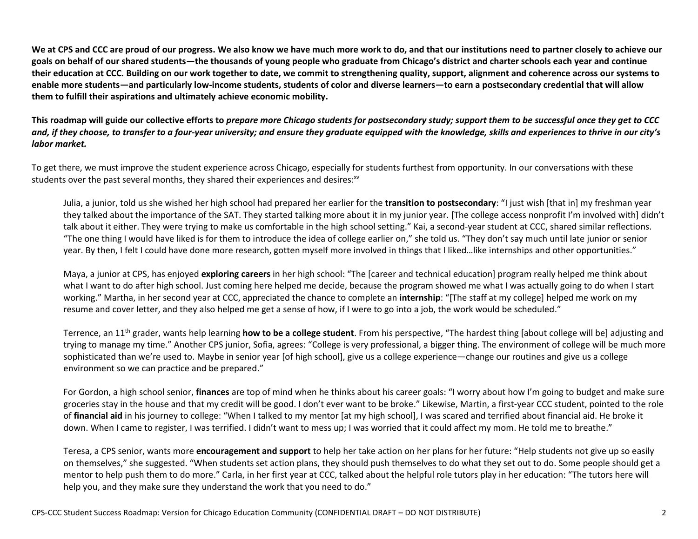**We at CPS and CCC are proud of our progress. We also know we have much more work to do, and that our institutions need to partner closely to achieve our goals on behalf of our shared students—the thousands of young people who graduate from Chicago's district and charter schools each year and continue their education at CCC. Building on our work together to date, we commit to strengthening quality, support, alignment and coherence across our systems to enable more students—and particularly low-income students, students of color and diverse learners—to earn a postsecondary credential that will allow them to fulfill their aspirations and ultimately achieve economic mobility.** 

**This roadmap will guide our collective efforts to** *prepare more Chicago students for postsecondary study; support them to be successful once they get to CCC and, if they choose, to transfer to a four-year university; and ensure they graduate equipped with the knowledge, skills and experiences to thrive in our city's labor market.*

To get there, we must improve the student experience across Chicago, especially for students furthest from opportunity. In our conversations with these students over the past several months, they shared their experiences and desires: $w$ 

Julia, a junior, told us she wished her high school had prepared her earlier for the **transition to postsecondary**: "I just wish [that in] my freshman year they talked about the importance of the SAT. They started talking more about it in my junior year. [The college access nonprofit I'm involved with] didn't talk about it either. They were trying to make us comfortable in the high school setting." Kai, a second-year student at CCC, shared similar reflections. "The one thing I would have liked is for them to introduce the idea of college earlier on," she told us. "They don't say much until late junior or senior year. By then, I felt I could have done more research, gotten myself more involved in things that I liked…like internships and other opportunities."

Maya, a junior at CPS, has enjoyed **exploring careers** in her high school: "The [career and technical education] program really helped me think about what I want to do after high school. Just coming here helped me decide, because the program showed me what I was actually going to do when I start working." Martha, in her second year at CCC, appreciated the chance to complete an **internship**: "[The staff at my college] helped me work on my resume and cover letter, and they also helped me get a sense of how, if I were to go into a job, the work would be scheduled."

Terrence, an 11th grader, wants help learning **how to be a college student**. From his perspective, "The hardest thing [about college will be] adjusting and trying to manage my time." Another CPS junior, Sofia, agrees: "College is very professional, a bigger thing. The environment of college will be much more sophisticated than we're used to. Maybe in senior year [of high school], give us a college experience—change our routines and give us a college environment so we can practice and be prepared."

For Gordon, a high school senior, **finances** are top of mind when he thinks about his career goals: "I worry about how I'm going to budget and make sure groceries stay in the house and that my credit will be good. I don't ever want to be broke." Likewise, Martin, a first-year CCC student, pointed to the role of **financial aid** in his journey to college: "When I talked to my mentor [at my high school], I was scared and terrified about financial aid. He broke it down. When I came to register, I was terrified. I didn't want to mess up; I was worried that it could affect my mom. He told me to breathe."

Teresa, a CPS senior, wants more **encouragement and support** to help her take action on her plans for her future: "Help students not give up so easily on themselves," she suggested. "When students set action plans, they should push themselves to do what they set out to do. Some people should get a mentor to help push them to do more." Carla, in her first year at CCC, talked about the helpful role tutors play in her education: "The tutors here will help you, and they make sure they understand the work that you need to do."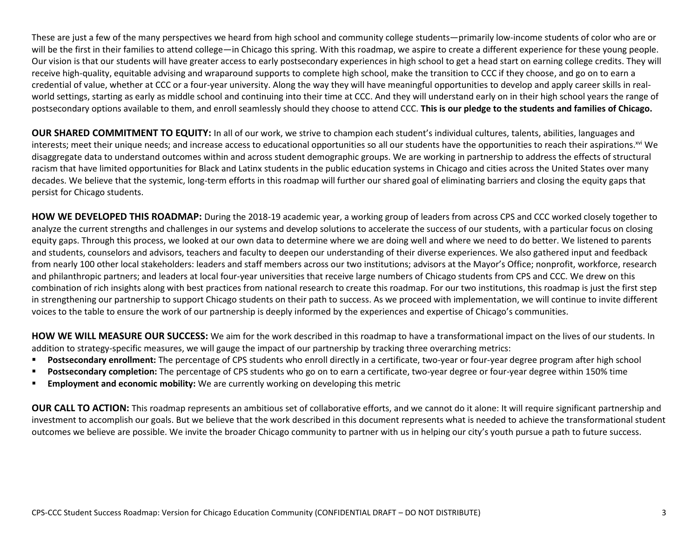These are just a few of the many perspectives we heard from high school and community college students—primarily low-income students of color who are or will be the first in their families to attend college—in Chicago this spring. With this roadmap, we aspire to create a different experience for these young people. Our vision is that our students will have greater access to early postsecondary experiences in high school to get a head start on earning college credits. They will receive high-quality, equitable advising and wraparound supports to complete high school, make the transition to CCC if they choose, and go on to earn a credential of value, whether at CCC or a four-year university. Along the way they will have meaningful opportunities to develop and apply career skills in realworld settings, starting as early as middle school and continuing into their time at CCC. And they will understand early on in their high school years the range of postsecondary options available to them, and enroll seamlessly should they choose to attend CCC. **This is our pledge to the students and families of Chicago.**

**OUR SHARED COMMITMENT TO EQUITY:** In all of our work, we strive to champion each student's individual cultures, talents, abilities, languages and interests; meet their unique needs; and increase access to educational opportunities so all our students have the opportunities to reach their aspirations.<sup>xvi</sup> We disaggregate data to understand outcomes within and across student demographic groups. We are working in partnership to address the effects of structural racism that have limited opportunities for Black and Latinx students in the public education systems in Chicago and cities across the United States over many decades. We believe that the systemic, long-term efforts in this roadmap will further our shared goal of eliminating barriers and closing the equity gaps that persist for Chicago students.

**HOW WE DEVELOPED THIS ROADMAP:** During the 2018-19 academic year, a working group of leaders from across CPS and CCC worked closely together to analyze the current strengths and challenges in our systems and develop solutions to accelerate the success of our students, with a particular focus on closing equity gaps. Through this process, we looked at our own data to determine where we are doing well and where we need to do better. We listened to parents and students, counselors and advisors, teachers and faculty to deepen our understanding of their diverse experiences. We also gathered input and feedback from nearly 100 other local stakeholders: leaders and staff members across our two institutions; advisors at the Mayor's Office; nonprofit, workforce, research and philanthropic partners; and leaders at local four-year universities that receive large numbers of Chicago students from CPS and CCC. We drew on this combination of rich insights along with best practices from national research to create this roadmap. For our two institutions, this roadmap is just the first step in strengthening our partnership to support Chicago students on their path to success. As we proceed with implementation, we will continue to invite different voices to the table to ensure the work of our partnership is deeply informed by the experiences and expertise of Chicago's communities.

**HOW WE WILL MEASURE OUR SUCCESS:** We aim for the work described in this roadmap to have a transformational impact on the lives of our students. In addition to strategy-specific measures, we will gauge the impact of our partnership by tracking three overarching metrics:

- **Postsecondary enrollment:** The percentage of CPS students who enroll directly in a certificate, two-year or four-year degree program after high school
- **Postsecondary completion:** The percentage of CPS students who go on to earn a certificate, two-year degree or four-year degree within 150% time
- **Employment and economic mobility:** We are currently working on developing this metric

**OUR CALL TO ACTION:** This roadmap represents an ambitious set of collaborative efforts, and we cannot do it alone: It will require significant partnership and investment to accomplish our goals. But we believe that the work described in this document represents what is needed to achieve the transformational student outcomes we believe are possible. We invite the broader Chicago community to partner with us in helping our city's youth pursue a path to future success.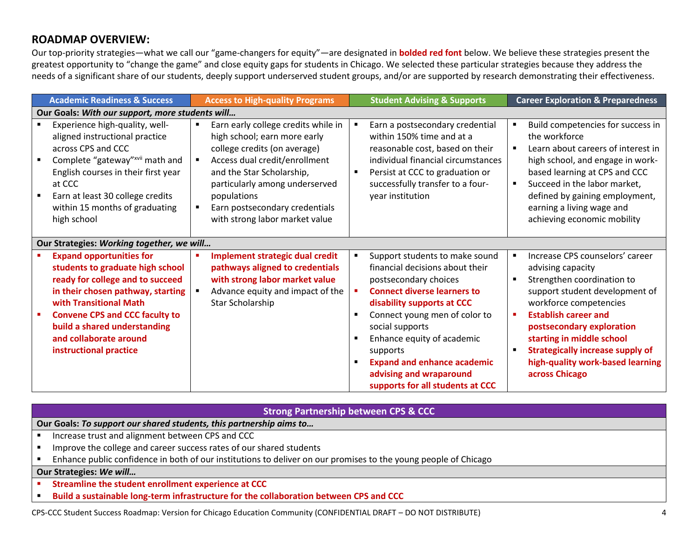# **ROADMAP OVERVIEW:**

Our top-priority strategies—what we call our "game-changers for equity"—are designated in **bolded red font** below. We believe these strategies present the greatest opportunity to "change the game" and close equity gaps for students in Chicago. We selected these particular strategies because they address the needs of a significant share of our students, deeply support underserved student groups, and/or are supported by research demonstrating their effectiveness.

| <b>Academic Readiness &amp; Success</b>                                                                                                                                                                                                                                                             | <b>Access to High-quality Programs</b>                                                                                                                                                                                                                                                                   | <b>Student Advising &amp; Supports</b>                                                                                                                                                                                                                                                                                                                                                                                       | <b>Career Exploration &amp; Preparedness</b>                                                                                                                                                                                                                                                                                             |
|-----------------------------------------------------------------------------------------------------------------------------------------------------------------------------------------------------------------------------------------------------------------------------------------------------|----------------------------------------------------------------------------------------------------------------------------------------------------------------------------------------------------------------------------------------------------------------------------------------------------------|------------------------------------------------------------------------------------------------------------------------------------------------------------------------------------------------------------------------------------------------------------------------------------------------------------------------------------------------------------------------------------------------------------------------------|------------------------------------------------------------------------------------------------------------------------------------------------------------------------------------------------------------------------------------------------------------------------------------------------------------------------------------------|
| Our Goals: With our support, more students will                                                                                                                                                                                                                                                     |                                                                                                                                                                                                                                                                                                          |                                                                                                                                                                                                                                                                                                                                                                                                                              |                                                                                                                                                                                                                                                                                                                                          |
| Experience high-quality, well-<br>aligned instructional practice<br>across CPS and CCC<br>Complete "gateway"xvii math and<br>English courses in their first year<br>at CCC<br>Earn at least 30 college credits<br>within 15 months of graduating<br>high school                                     | Earn early college credits while in<br>$\blacksquare$<br>high school; earn more early<br>college credits (on average)<br>Access dual credit/enrollment<br>and the Star Scholarship,<br>particularly among underserved<br>populations<br>Earn postsecondary credentials<br>with strong labor market value | Earn a postsecondary credential<br>$\blacksquare$<br>within 150% time and at a<br>reasonable cost, based on their<br>individual financial circumstances<br>Persist at CCC to graduation or<br>$\blacksquare$<br>successfully transfer to a four-<br>year institution                                                                                                                                                         | Build competencies for success in<br>the workforce<br>Learn about careers of interest in<br>high school, and engage in work-<br>based learning at CPS and CCC<br>Succeed in the labor market,<br>defined by gaining employment,<br>earning a living wage and<br>achieving economic mobility                                              |
| Our Strategies: Working together, we will                                                                                                                                                                                                                                                           |                                                                                                                                                                                                                                                                                                          |                                                                                                                                                                                                                                                                                                                                                                                                                              |                                                                                                                                                                                                                                                                                                                                          |
| <b>Expand opportunities for</b><br>students to graduate high school<br>ready for college and to succeed<br>in their chosen pathway, starting<br>with Transitional Math<br><b>Convene CPS and CCC faculty to</b><br>build a shared understanding<br>and collaborate around<br>instructional practice | <b>Implement strategic dual credit</b><br>pathways aligned to credentials<br>with strong labor market value<br>Advance equity and impact of the<br>Star Scholarship                                                                                                                                      | Support students to make sound<br>٠<br>financial decisions about their<br>postsecondary choices<br><b>Connect diverse learners to</b><br>$\blacksquare$<br>disability supports at CCC<br>Connect young men of color to<br>$\blacksquare$<br>social supports<br>Enhance equity of academic<br>supports<br><b>Expand and enhance academic</b><br>$\blacksquare$<br>advising and wraparound<br>supports for all students at CCC | Increase CPS counselors' career<br>advising capacity<br>Strengthen coordination to<br>support student development of<br>workforce competencies<br><b>Establish career and</b><br>postsecondary exploration<br>starting in middle school<br><b>Strategically increase supply of</b><br>high-quality work-based learning<br>across Chicago |

### **Strong Partnership between CPS & CCC**

**Our Goals:** *To support our shared students, this partnership aims to…*

- **Increase trust and alignment between CPS and CCC**
- **IMPROVE THE COLLEGE AND CALCE AND THE IMPROVE THE COLLEGE ST** Improve the college and career success rates of our shared students
- Enhance public confidence in both of our institutions to deliver on our promises to the young people of Chicago

## **Our Strategies:** *We will…*

- **F** Streamline the student enrollment experience at CCC
- **Build a sustainable long-term infrastructure for the collaboration between CPS and CCC**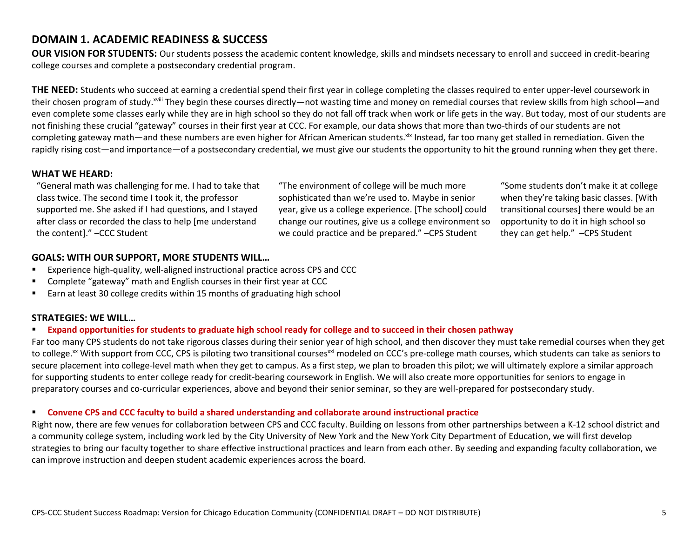# **DOMAIN 1. ACADEMIC READINESS & SUCCESS**

**OUR VISION FOR STUDENTS:** Our students possess the academic content knowledge, skills and mindsets necessary to enroll and succeed in credit-bearing college courses and complete a postsecondary credential program.

**THE NEED:** Students who succeed at earning a credential spend their first year in college completing the classes required to enter upper-level coursework in their chosen program of study.<sup>xviii</sup> They begin these courses directly—not wasting time and money on remedial courses that review skills from high school—and even complete some classes early while they are in high school so they do not fall off track when work or life gets in the way. But today, most of our students are not finishing these crucial "gateway" courses in their first year at CCC. For example, our data shows that more than two-thirds of our students are not completing gateway math—and these numbers are even higher for African American students.<sup>xix</sup> Instead, far too many get stalled in remediation. Given the rapidly rising cost—and importance—of a postsecondary credential, we must give our students the opportunity to hit the ground running when they get there.

### **WHAT WE HEARD:**

"General math was challenging for me. I had to take that class twice. The second time I took it, the professor supported me. She asked if I had questions, and I stayed after class or recorded the class to help [me understand the content]." –CCC Student

"The environment of college will be much more sophisticated than we're used to. Maybe in senior year, give us a college experience. [The school] could change our routines, give us a college environment so we could practice and be prepared." –CPS Student

"Some students don't make it at college when they're taking basic classes. [With transitional courses] there would be an opportunity to do it in high school so they can get help." –CPS Student

## **GOALS: WITH OUR SUPPORT, MORE STUDENTS WILL…**

- Experience high-quality, well-aligned instructional practice across CPS and CCC
- Complete "gateway" math and English courses in their first year at CCC
- **Earn at least 30 college credits within 15 months of graduating high school**

## **STRATEGIES: WE WILL…**

### **Expand opportunities for students to graduate high school ready for college and to succeed in their chosen pathway**

Far too many CPS students do not take rigorous classes during their senior year of high school, and then discover they must take remedial courses when they get to college.<sup>xx</sup> With support from CCC, CPS is piloting two transitional courses<sup>xxi</sup> modeled on CCC's pre-college math courses, which students can take as seniors to secure placement into college-level math when they get to campus. As a first step, we plan to broaden this pilot; we will ultimately explore a similar approach for supporting students to enter college ready for credit-bearing coursework in English. We will also create more opportunities for seniors to engage in preparatory courses and co-curricular experiences, above and beyond their senior seminar, so they are well-prepared for postsecondary study.

### **Convene CPS and CCC faculty to build a shared understanding and collaborate around instructional practice**

Right now, there are few venues for collaboration between CPS and CCC faculty. Building on lessons from other partnerships between a K-12 school district and a community college system, including work led by the City University of New York and the New York City Department of Education, we will first develop strategies to bring our faculty together to share effective instructional practices and learn from each other. By seeding and expanding faculty collaboration, we can improve instruction and deepen student academic experiences across the board.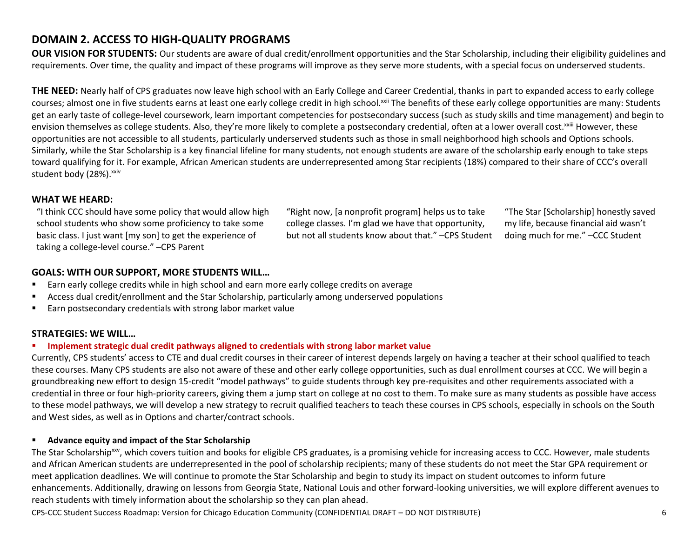# **DOMAIN 2. ACCESS TO HIGH-QUALITY PROGRAMS**

**OUR VISION FOR STUDENTS:** Our students are aware of dual credit/enrollment opportunities and the Star Scholarship, including their eligibility guidelines and requirements. Over time, the quality and impact of these programs will improve as they serve more students, with a special focus on underserved students.

**THE NEED:** Nearly half of CPS graduates now leave high school with an Early College and Career Credential, thanks in part to expanded access to early college courses; almost one in five students earns at least one early college credit in high school.<sup>xxii</sup> The benefits of these early college opportunities are many: Students get an early taste of college-level coursework, learn important competencies for postsecondary success (such as study skills and time management) and begin to envision themselves as college students. Also, they're more likely to complete a postsecondary credential, often at a lower overall cost. XXIII However, these opportunities are not accessible to all students, particularly underserved students such as those in small neighborhood high schools and Options schools. Similarly, while the Star Scholarship is a key financial lifeline for many students, not enough students are aware of the scholarship early enough to take steps toward qualifying for it. For example, African American students are underrepresented among Star recipients (18%) compared to their share of CCC's overall student body (28%).<sup>xxiv</sup>

## **WHAT WE HEARD:**

"I think CCC should have some policy that would allow high school students who show some proficiency to take some basic class. I just want [my son] to get the experience of taking a college-level course." –CPS Parent

"Right now, [a nonprofit program] helps us to take college classes. I'm glad we have that opportunity, but not all students know about that." –CPS Student

"The Star [Scholarship] honestly saved my life, because financial aid wasn't doing much for me." –CCC Student

## **GOALS: WITH OUR SUPPORT, MORE STUDENTS WILL…**

- Earn early college credits while in high school and earn more early college credits on average
- Access dual credit/enrollment and the Star Scholarship, particularly among underserved populations
- **Earn postsecondary credentials with strong labor market value**

## **STRATEGIES: WE WILL…**

### **Implement strategic dual credit pathways aligned to credentials with strong labor market value**

Currently, CPS students' access to CTE and dual credit courses in their career of interest depends largely on having a teacher at their school qualified to teach these courses. Many CPS students are also not aware of these and other early college opportunities, such as dual enrollment courses at CCC. We will begin a groundbreaking new effort to design 15-credit "model pathways" to guide students through key pre-requisites and other requirements associated with a credential in three or four high-priority careers, giving them a jump start on college at no cost to them. To make sure as many students as possible have access to these model pathways, we will develop a new strategy to recruit qualified teachers to teach these courses in CPS schools, especially in schools on the South and West sides, as well as in Options and charter/contract schools.

## **Advance equity and impact of the Star Scholarship**

The Star Scholarship<sup>xxv</sup>, which covers tuition and books for eligible CPS graduates, is a promising vehicle for increasing access to CCC. However, male students and African American students are underrepresented in the pool of scholarship recipients; many of these students do not meet the Star GPA requirement or meet application deadlines. We will continue to promote the Star Scholarship and begin to study its impact on student outcomes to inform future enhancements. Additionally, drawing on lessons from Georgia State, National Louis and other forward-looking universities, we will explore different avenues to reach students with timely information about the scholarship so they can plan ahead.

CPS-CCC Student Success Roadmap: Version for Chicago Education Community (CONFIDENTIAL DRAFT – DO NOT DISTRIBUTE) 6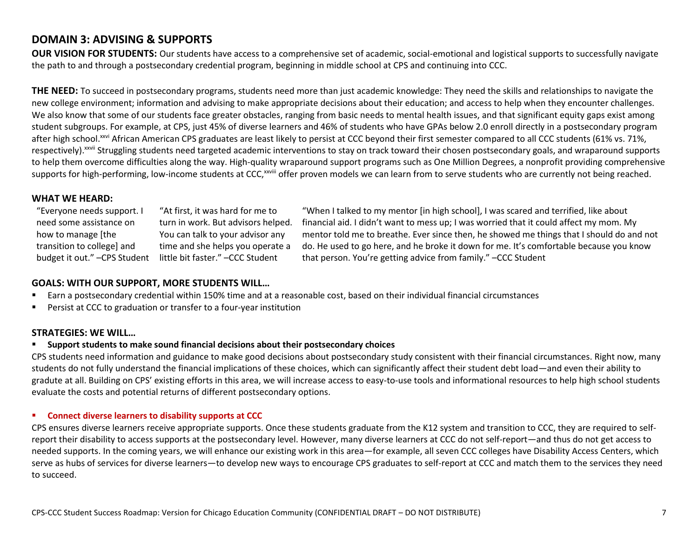# **DOMAIN 3: ADVISING & SUPPORTS**

**OUR VISION FOR STUDENTS:** Our students have access to a comprehensive set of academic, social-emotional and logistical supports to successfully navigate the path to and through a postsecondary credential program, beginning in middle school at CPS and continuing into CCC.

**THE NEED:** To succeed in postsecondary programs, students need more than just academic knowledge: They need the skills and relationships to navigate the new college environment; information and advising to make appropriate decisions about their education; and access to help when they encounter challenges. We also know that some of our students face greater obstacles, ranging from basic needs to mental health issues, and that significant equity gaps exist among student subgroups. For example, at CPS, just 45% of diverse learners and 46% of students who have GPAs below 2.0 enroll directly in a postsecondary program after high school.<sup>xxvi</sup> African American CPS graduates are least likely to persist at CCC beyond their first semester compared to all CCC students (61% vs. 71%, respectively).<sup>xxvii</sup> Struggling students need targeted academic interventions to stay on track toward their chosen postsecondary goals, and wraparound supports to help them overcome difficulties along the way. High-quality wraparound support programs such as One Million Degrees, a nonprofit providing comprehensive supports for high-performing, low-income students at CCC,<sup>xxviii</sup> offer proven models we can learn from to serve students who are currently not being reached.

## **WHAT WE HEARD:**

"Everyone needs support. I need some assistance on how to manage [the transition to college] and

budget it out." - CPS Student little bit faster." - CCC Student "At first, it was hard for me to turn in work. But advisors helped. You can talk to your advisor any time and she helps you operate a

"When I talked to my mentor [in high school], I was scared and terrified, like about financial aid. I didn't want to mess up; I was worried that it could affect my mom. My mentor told me to breathe. Ever since then, he showed me things that I should do and not do. He used to go here, and he broke it down for me. It's comfortable because you know that person. You're getting advice from family." –CCC Student

## **GOALS: WITH OUR SUPPORT, MORE STUDENTS WILL…**

- Earn a postsecondary credential within 150% time and at a reasonable cost, based on their individual financial circumstances
- Persist at CCC to graduation or transfer to a four-year institution

## **STRATEGIES: WE WILL…**

## **Support students to make sound financial decisions about their postsecondary choices**

CPS students need information and guidance to make good decisions about postsecondary study consistent with their financial circumstances. Right now, many students do not fully understand the financial implications of these choices, which can significantly affect their student debt load—and even their ability to gradute at all. Building on CPS' existing efforts in this area, we will increase access to easy-to-use tools and informational resources to help high school students evaluate the costs and potential returns of different postsecondary options.

### **Connect diverse learners to disability supports at CCC**

CPS ensures diverse learners receive appropriate supports. Once these students graduate from the K12 system and transition to CCC, they are required to selfreport their disability to access supports at the postsecondary level. However, many diverse learners at CCC do not self-report—and thus do not get access to needed supports. In the coming years, we will enhance our existing work in this area—for example, all seven CCC colleges have Disability Access Centers, which serve as hubs of services for diverse learners—to develop new ways to encourage CPS graduates to self-report at CCC and match them to the services they need to succeed.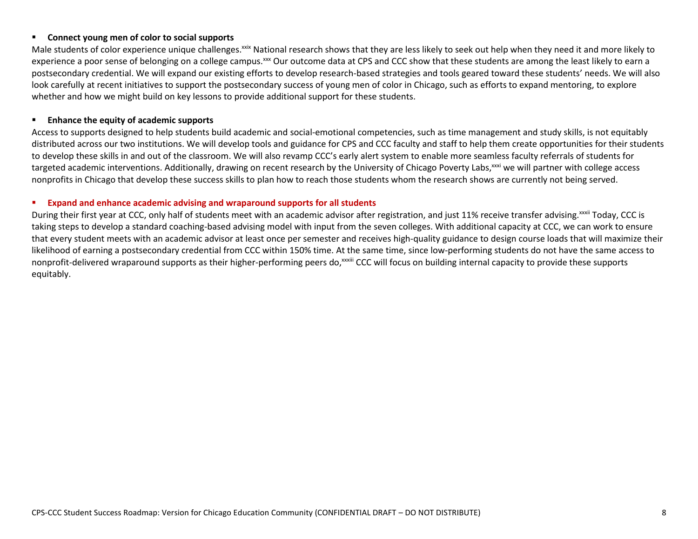#### **Connect young men of color to social supports**

Male students of color experience unique challenges.<sup>xxix</sup> National research shows that they are less likely to seek out help when they need it and more likely to experience a poor sense of belonging on a college campus.<sup>xxx</sup> Our outcome data at CPS and CCC show that these students are among the least likely to earn a postsecondary credential. We will expand our existing efforts to develop research-based strategies and tools geared toward these students' needs. We will also look carefully at recent initiatives to support the postsecondary success of young men of color in Chicago, such as efforts to expand mentoring, to explore whether and how we might build on key lessons to provide additional support for these students.

#### **Enhance the equity of academic supports**

Access to supports designed to help students build academic and social-emotional competencies, such as time management and study skills, is not equitably distributed across our two institutions. We will develop tools and guidance for CPS and CCC faculty and staff to help them create opportunities for their students to develop these skills in and out of the classroom. We will also revamp CCC's early alert system to enable more seamless faculty referrals of students for targeted academic interventions. Additionally, drawing on recent research by the University of Chicago Poverty Labs, xxxi we will partner with college access nonprofits in Chicago that develop these success skills to plan how to reach those students whom the research shows are currently not being served.

#### **Expand and enhance academic advising and wraparound supports for all students**

During their first year at CCC, only half of students meet with an academic advisor after registration, and just 11% receive transfer advising. XXXIII Today, CCC is taking steps to develop a standard coaching-based advising model with input from the seven colleges. With additional capacity at CCC, we can work to ensure that every student meets with an academic advisor at least once per semester and receives high-quality guidance to design course loads that will maximize their likelihood of earning a postsecondary credential from CCC within 150% time. At the same time, since low-performing students do not have the same access to nonprofit-delivered wraparound supports as their higher-performing peers do,<sup>xxxiii</sup> CCC will focus on building internal capacity to provide these supports equitably.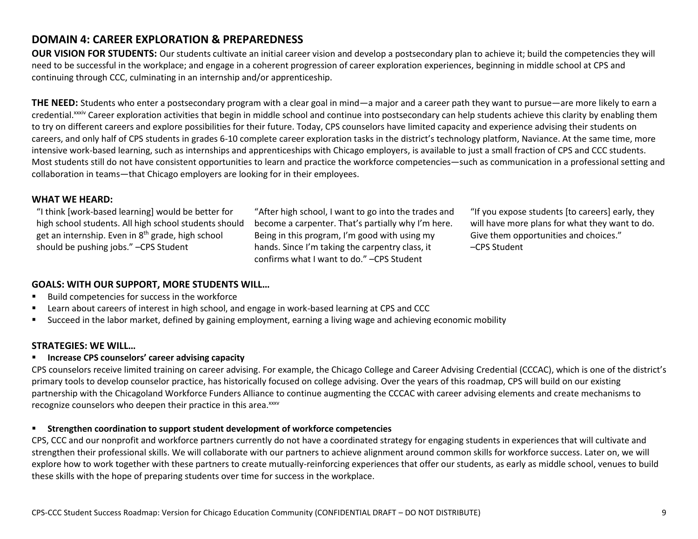# **DOMAIN 4: CAREER EXPLORATION & PREPAREDNESS**

**OUR VISION FOR STUDENTS:** Our students cultivate an initial career vision and develop a postsecondary plan to achieve it; build the competencies they will need to be successful in the workplace; and engage in a coherent progression of career exploration experiences, beginning in middle school at CPS and continuing through CCC, culminating in an internship and/or apprenticeship.

**THE NEED:** Students who enter a postsecondary program with a clear goal in mind—a major and a career path they want to pursue—are more likely to earn a credential.<sup>xxxiv</sup> Career exploration activities that begin in middle school and continue into postsecondary can help students achieve this clarity by enabling them to try on different careers and explore possibilities for their future. Today, CPS counselors have limited capacity and experience advising their students on careers, and only half of CPS students in grades 6-10 complete career exploration tasks in the district's technology platform, Naviance. At the same time, more intensive work-based learning, such as internships and apprenticeships with Chicago employers, is available to just a small fraction of CPS and CCC students. Most students still do not have consistent opportunities to learn and practice the workforce competencies—such as communication in a professional setting and collaboration in teams—that Chicago employers are looking for in their employees.

## **WHAT WE HEARD:**

"I think [work-based learning] would be better for high school students. All high school students should get an internship. Even in  $8<sup>th</sup>$  grade, high school should be pushing jobs." –CPS Student

"After high school, I want to go into the trades and become a carpenter. That's partially why I'm here. Being in this program, I'm good with using my hands. Since I'm taking the carpentry class, it confirms what I want to do." –CPS Student

"If you expose students [to careers] early, they will have more plans for what they want to do. Give them opportunities and choices." –CPS Student

## **GOALS: WITH OUR SUPPORT, MORE STUDENTS WILL…**

- Build competencies for success in the workforce
- Learn about careers of interest in high school, and engage in work-based learning at CPS and CCC
- Succeed in the labor market, defined by gaining employment, earning a living wage and achieving economic mobility

## **STRATEGIES: WE WILL…**

## **Increase CPS counselors' career advising capacity**

CPS counselors receive limited training on career advising. For example, the Chicago College and Career Advising Credential (CCCAC), which is one of the district's primary tools to develop counselor practice, has historically focused on college advising. Over the years of this roadmap, CPS will build on our existing partnership with the Chicagoland Workforce Funders Alliance to continue augmenting the CCCAC with career advising elements and create mechanisms to recognize counselors who deepen their practice in this area.<sup>xxxv</sup>

## **Strengthen coordination to support student development of workforce competencies**

CPS, CCC and our nonprofit and workforce partners currently do not have a coordinated strategy for engaging students in experiences that will cultivate and strengthen their professional skills. We will collaborate with our partners to achieve alignment around common skills for workforce success. Later on, we will explore how to work together with these partners to create mutually-reinforcing experiences that offer our students, as early as middle school, venues to build these skills with the hope of preparing students over time for success in the workplace.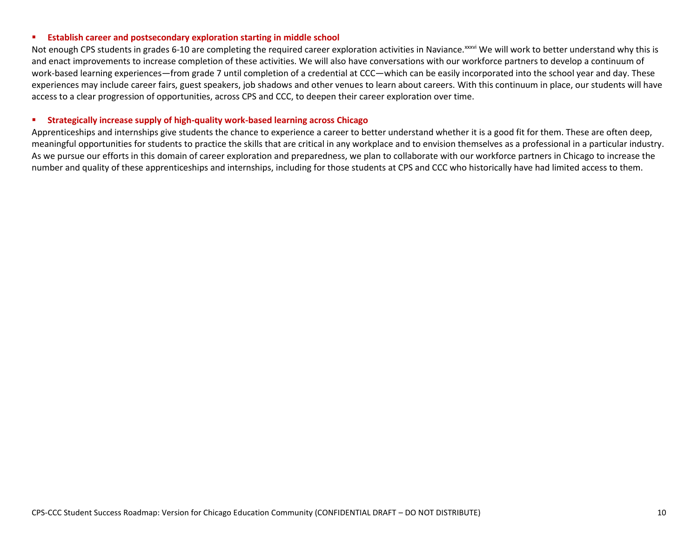#### **Establish career and postsecondary exploration starting in middle school**

Not enough CPS students in grades 6-10 are completing the required career exploration activities in Naviance.<sup>xxxvi</sup> We will work to better understand why this is and enact improvements to increase completion of these activities. We will also have conversations with our workforce partners to develop a continuum of work-based learning experiences—from grade 7 until completion of a credential at CCC—which can be easily incorporated into the school year and day. These experiences may include career fairs, guest speakers, job shadows and other venues to learn about careers. With this continuum in place, our students will have access to a clear progression of opportunities, across CPS and CCC, to deepen their career exploration over time.

#### **Strategically increase supply of high-quality work-based learning across Chicago**

Apprenticeships and internships give students the chance to experience a career to better understand whether it is a good fit for them. These are often deep, meaningful opportunities for students to practice the skills that are critical in any workplace and to envision themselves as a professional in a particular industry. As we pursue our efforts in this domain of career exploration and preparedness, we plan to collaborate with our workforce partners in Chicago to increase the number and quality of these apprenticeships and internships, including for those students at CPS and CCC who historically have had limited access to them.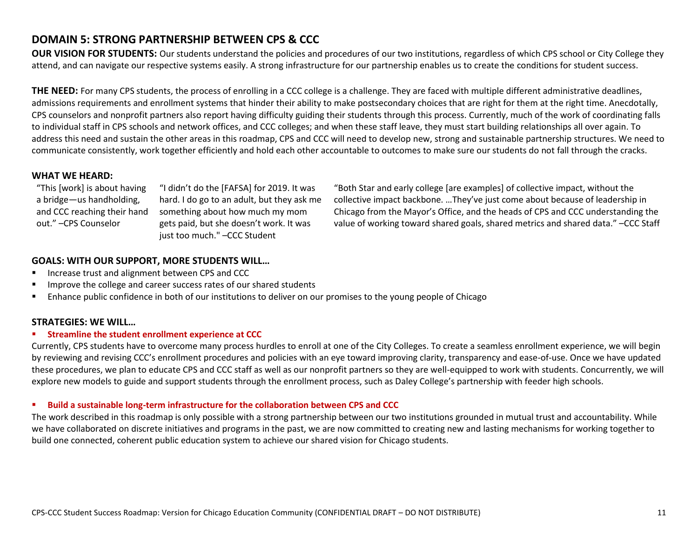# **DOMAIN 5: STRONG PARTNERSHIP BETWEEN CPS & CCC**

**OUR VISION FOR STUDENTS:** Our students understand the policies and procedures of our two institutions, regardless of which CPS school or City College they attend, and can navigate our respective systems easily. A strong infrastructure for our partnership enables us to create the conditions for student success.

**THE NEED:** For many CPS students, the process of enrolling in a CCC college is a challenge. They are faced with multiple different administrative deadlines, admissions requirements and enrollment systems that hinder their ability to make postsecondary choices that are right for them at the right time. Anecdotally, CPS counselors and nonprofit partners also report having difficulty guiding their students through this process. Currently, much of the work of coordinating falls to individual staff in CPS schools and network offices, and CCC colleges; and when these staff leave, they must start building relationships all over again. To address this need and sustain the other areas in this roadmap, CPS and CCC will need to develop new, strong and sustainable partnership structures. We need to communicate consistently, work together efficiently and hold each other accountable to outcomes to make sure our students do not fall through the cracks.

### **WHAT WE HEARD:**

"This [work] is about having a bridge—us handholding, and CCC reaching their hand out." –CPS Counselor

"I didn't do the [FAFSA] for 2019. It was hard. I do go to an adult, but they ask me something about how much my mom gets paid, but she doesn't work. It was just too much." –CCC Student

"Both Star and early college [are examples] of collective impact, without the collective impact backbone. …They've just come about because of leadership in Chicago from the Mayor's Office, and the heads of CPS and CCC understanding the value of working toward shared goals, shared metrics and shared data." –CCC Staff

## **GOALS: WITH OUR SUPPORT, MORE STUDENTS WILL…**

- Increase trust and alignment between CPS and CCC
- **IMPROVE THE COLLEGE AND CALCE AND THE IMPROVE THE COLLEGE ST** Improve the college and career success rates of our shared students
- Enhance public confidence in both of our institutions to deliver on our promises to the young people of Chicago

### **STRATEGIES: WE WILL…**

#### **F** Streamline the student enrollment experience at CCC

Currently, CPS students have to overcome many process hurdles to enroll at one of the City Colleges. To create a seamless enrollment experience, we will begin by reviewing and revising CCC's enrollment procedures and policies with an eye toward improving clarity, transparency and ease-of-use. Once we have updated these procedures, we plan to educate CPS and CCC staff as well as our nonprofit partners so they are well-equipped to work with students. Concurrently, we will explore new models to guide and support students through the enrollment process, such as Daley College's partnership with feeder high schools.

#### **Build a sustainable long-term infrastructure for the collaboration between CPS and CCC**

The work described in this roadmap is only possible with a strong partnership between our two institutions grounded in mutual trust and accountability. While we have collaborated on discrete initiatives and programs in the past, we are now committed to creating new and lasting mechanisms for working together to build one connected, coherent public education system to achieve our shared vision for Chicago students.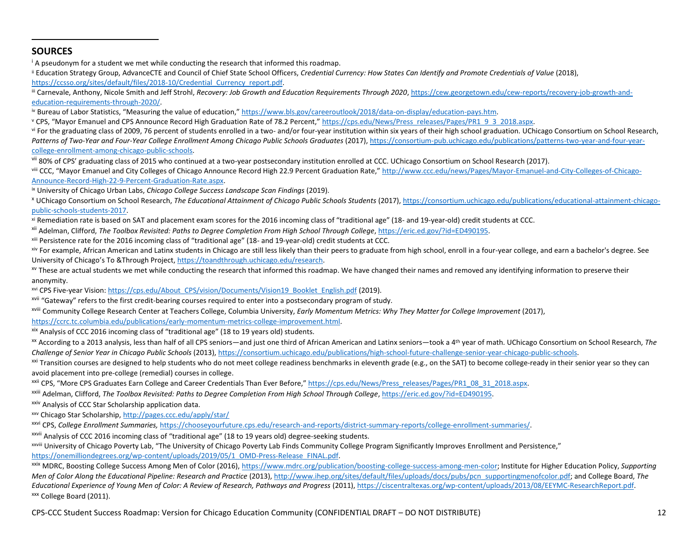## **SOURCES**

 $\overline{a}$ 

<sup>i</sup> A pseudonym for a student we met while conducting the research that informed this roadmap.

ii Education Strategy Group, AdvanceCTE and Council of Chief State School Officers, *Credential Currency: How States Can Identify and Promote Credentials of Value* (2018), https://ccsso.org/sites/default/files/2018-10/Credential\_Currency\_report.pdf.

iii Carnevale, Anthony, Nicole Smith and Jeff Strohl, *Recovery: Job Growth and Education Requirements Through 2020*[, https://cew.georgetown.edu/cew-reports/recovery-job-growth-and](https://cew.georgetown.edu/cew-reports/recovery-job-growth-and-education-requirements-through-2020/)[education-requirements-through-2020/.](https://cew.georgetown.edu/cew-reports/recovery-job-growth-and-education-requirements-through-2020/) 

iv Bureau of Labor Statistics, "Measuring the value of education," [https://www.bls.gov/careeroutlook/2018/data-on-display/education-pays.htm.](https://www.bls.gov/careeroutlook/2018/data-on-display/education-pays.htm) 

v CPS, "Mayor Emanuel and CPS Announce Record High Graduation Rate of 78.2 Percent," [https://cps.edu/News/Press\\_releases/Pages/PR1\\_9\\_3\\_2018.aspx.](https://cps.edu/News/Press_releases/Pages/PR1_9_3_2018.aspx)

vi For the graduating class of 2009, 76 percent of students enrolled in a two- and/or four-year institution within six years of their high school graduation. UChicago Consortium on School Research, Patterns of Two-Year and Four-Year College Enrollment Among Chicago Public Schools Graduates (2017)[, https://consortium-pub.uchicago.edu/publications/patterns-two-year-and-four-year](https://consortium-pub.uchicago.edu/publications/patterns-two-year-and-four-year-college-enrollment-among-chicago-public-schools)[college-enrollment-among-chicago-public-schools.](https://consortium-pub.uchicago.edu/publications/patterns-two-year-and-four-year-college-enrollment-among-chicago-public-schools)

vii 80% of CPS' graduating class of 2015 who continued at a two-year postsecondary institution enrolled at CCC. UChicago Consortium on School Research (2017).

viii CCC. "Mayor Emanuel and City Colleges of Chicago Announce Record High 22.9 Percent Graduation Rate." [http://www.ccc.edu/news/Pages/Mayor-Emanuel-and-City-Colleges-of-Chicago-](http://www.ccc.edu/news/Pages/Mayor-Emanuel-and-City-Colleges-of-Chicago-Announce-Record-High-22-9-Percent-Graduation-Rate.aspx)[Announce-Record-High-22-9-Percent-Graduation-Rate.aspx.](http://www.ccc.edu/news/Pages/Mayor-Emanuel-and-City-Colleges-of-Chicago-Announce-Record-High-22-9-Percent-Graduation-Rate.aspx)

ix University of Chicago Urban Labs, *Chicago College Success Landscape Scan Findings* (2019).

<sup>x</sup> UChicago Consortium on School Research, *The Educational Attainment of Chicago Public Schools Students* (2017)[, https://consortium.uchicago.edu/publications/educational-attainment-chicago](https://consortium.uchicago.edu/publications/educational-attainment-chicago-public-schools-students-2017)[public-schools-students-2017.](https://consortium.uchicago.edu/publications/educational-attainment-chicago-public-schools-students-2017) 

xi Remediation rate is based on SAT and placement exam scores for the 2016 incoming class of "traditional age" (18- and 19-year-old) credit students at CCC.

xii Adelman, Clifford, *The Toolbox Revisited: Paths to Degree Completion From High School Through College*[, https://eric.ed.gov/?id=ED490195.](https://eric.ed.gov/?id=ED490195)

xiii Persistence rate for the 2016 incoming class of "traditional age" (18- and 19-year-old) credit students at CCC.

xiv For example, African American and Latinx students in Chicago are still less likely than their peers to graduate from high school, enroll in a four-year college, and earn a bachelor's degree. See University of Chicago's To &Through Project, [https://toandthrough.uchicago.edu/research.](https://toandthrough.uchicago.edu/research)

<sup>xv</sup> These are actual students we met while conducting the research that informed this roadmap. We have changed their names and removed any identifying information to preserve their anonymity.

xvi CPS Five-year Vision[: https://cps.edu/About\\_CPS/vision/Documents/Vision19\\_Booklet\\_English.pdf](https://cps.edu/About_CPS/vision/Documents/Vision19_Booklet_English.pdf) (2019).

xvii "Gateway" refers to the first credit-bearing courses required to enter into a postsecondary program of study.

xviii Community College Research Center at Teachers College, Columbia University, *Early Momentum Metrics: Why They Matter for College Improvement* (2017),

[https://ccrc.tc.columbia.edu/publications/early-momentum-metrics-college-improvement.html.](https://ccrc.tc.columbia.edu/publications/early-momentum-metrics-college-improvement.html)

 $x^{xx}$  Analysis of CCC 2016 incoming class of "traditional age" (18 to 19 years old) students.

xx According to a 2013 analysis, less than half of all CPS seniors—and just one third of African American and Latinx seniors—took a 4th year of math. UChicago Consortium on School Research, *The Challenge of Senior Year in Chicago Public Schools* (2013)[, https://consortium.uchicago.edu/publications/high-school-future-challenge-senior-year-chicago-public-schools.](https://consortium.uchicago.edu/publications/high-school-future-challenge-senior-year-chicago-public-schools)

 $\frac{xxi}{x}$  Transition courses are designed to help students who do not meet college readiness benchmarks in eleventh grade (e.g., on the SAT) to become college-ready in their senior year so they can avoid placement into pre-college (remedial) courses in college.

xxii CPS, "More CPS Graduates Earn College and Career Credentials Than Ever Before," [https://cps.edu/News/Press\\_releases/Pages/PR1\\_08\\_31\\_2018.aspx.](https://cps.edu/News/Press_releases/Pages/PR1_08_31_2018.aspx)

xxiii Adelman, Clifford, *The Toolbox Revisited: Paths to Degree Completion From High School Through College*[, https://eric.ed.gov/?id=ED490195.](https://eric.ed.gov/?id=ED490195)

xxiv Analysis of CCC Star Scholarship application data.

xxv Chicago Star Scholarship[, http://pages.ccc.edu/apply/star/](http://pages.ccc.edu/apply/star/)

xxvi CPS, *College Enrollment Summaries,* [https://chooseyourfuture.cps.edu/research-and-reports/district-summary-reports/college-enrollment-summaries/.](https://chooseyourfuture.cps.edu/research-and-reports/district-summary-reports/college-enrollment-summaries/)

xxvii Analysis of CCC 2016 incoming class of "traditional age" (18 to 19 years old) degree-seeking students.

xxviii University of Chicago Poverty Lab, "The University of Chicago Poverty Lab Finds Community College Program Significantly Improves Enrollment and Persistence," [https://onemilliondegrees.org/wp-content/uploads/2019/05/1\\_OMD-Press-Release\\_FINAL.pdf.](https://onemilliondegrees.org/wp-content/uploads/2019/05/1_OMD-Press-Release_FINAL.pdf)

xxix MDRC, Boosting College Success Among Men of Color (2016)[, https://www.mdrc.org/publication/boosting-college-success-among-men-color;](https://www.mdrc.org/publication/boosting-college-success-among-men-color) Institute for Higher Education Policy, *Supporting Men of Color Along the Educational Pipeline: Research and Practice* (2013), [http://www.ihep.org/sites/default/files/uploads/docs/pubs/pcn\\_supportingmenofcolor.pdf;](http://www.ihep.org/sites/default/files/uploads/docs/pubs/pcn_supportingmenofcolor.pdf) and College Board, *The Educational Experience of Young Men of Color: A Review of Research, Pathways and Progress* (2011)[, https://ciscentraltexas.org/wp-content/uploads/2013/08/EEYMC-ResearchReport.pdf.](https://ciscentraltexas.org/wp-content/uploads/2013/08/EEYMC-ResearchReport.pdf)  xxx College Board (2011).